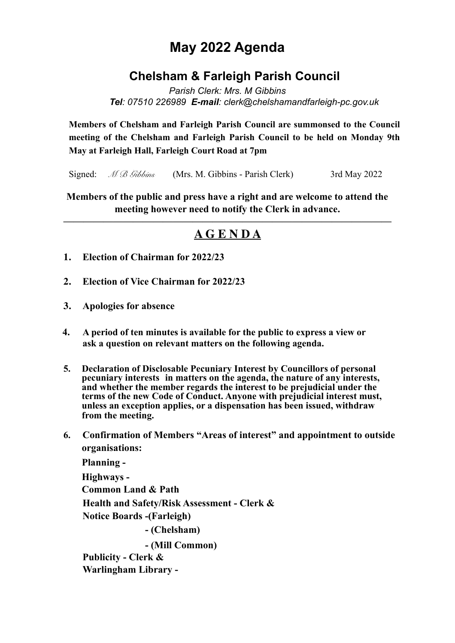# **May 2022 Agenda**

## **Chelsham & Farleigh Parish Council**

*Parish Clerk: Mrs. M Gibbins Tel: 07510 226989 E-mail: clerk@chelshamandfarleigh-pc.gov.uk* 

**Members of Chelsham and Farleigh Parish Council are summonsed to the Council meeting of the Chelsham and Farleigh Parish Council to be held on Monday 9th May at Farleigh Hall, Farleigh Court Road at 7pm**

Signed: *M B Gibbins* (Mrs. M. Gibbins - Parish Clerk) 3rd May 2022

**Members of the public and press have a right and are welcome to attend the meeting however need to notify the Clerk in advance.** 

## **————————————————————————————————— A G E N D A**

- **1. Election of Chairman for 2022/23**
- **2. Election of Vice Chairman for 2022/23**
- **3. Apologies for absence**
- **4. A period of ten minutes is available for the public to express a view or ask a question on relevant matters on the following agenda.**
- **5. Declaration of Disclosable Pecuniary Interest by Councillors of personal pecuniary interests in matters on the agenda, the nature of any interests, and whether the member regards the interest to be prejudicial under the terms of the new Code of Conduct. Anyone with prejudicial interest must, unless an exception applies, or a dispensation has been issued, withdraw from the meeting.**
- **6. Confirmation of Members "Areas of interest" and appointment to outside organisations:**

 **Planning - Highways - Common Land & Path Health and Safety/Risk Assessment - Clerk & Notice Boards -(Farleigh) - (Chelsham) - (Mill Common) Publicity - Clerk &** 

 **Warlingham Library -**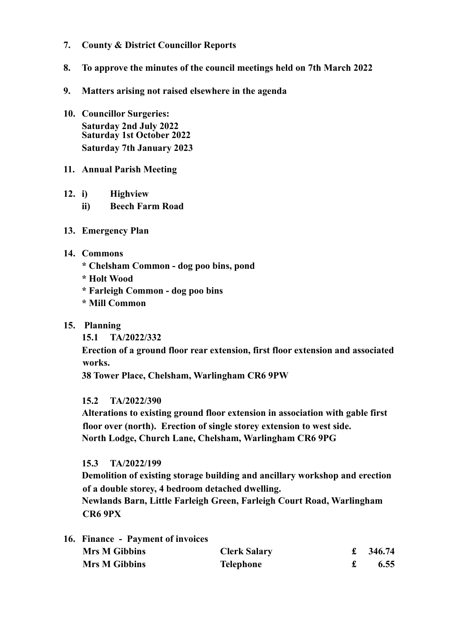- **7. County & District Councillor Reports**
- **8. To approve the minutes of the council meetings held on 7th March 2022**
- **9. Matters arising not raised elsewhere in the agenda**
- **10. Councillor Surgeries: Saturday 2nd July 2022 Saturday 1st October 2022 Saturday 7th January 2023**
- **11. Annual Parish Meeting**
- **12. i) Highview** 
	- **ii) Beech Farm Road**
- **13. Emergency Plan**
- **14. Commons** 
	- **\* Chelsham Common dog poo bins, pond**
	- **\* Holt Wood**
	- **\* Farleigh Common dog poo bins**
	- **\* Mill Common**
- **15. Planning** 
	- **15.1 TA/2022/332**

 **Erection of a ground floor rear extension, first floor extension and associated works.** 

 **38 Tower Place, Chelsham, Warlingham CR6 9PW** 

### **15.2 TA/2022/390**

 **Alterations to existing ground floor extension in association with gable first floor over (north). Erection of single storey extension to west side. North Lodge, Church Lane, Chelsham, Warlingham CR6 9PG** 

### **15.3 TA/2022/199**

 **Demolition of existing storage building and ancillary workshop and erection of a double storey, 4 bedroom detached dwelling.** 

 **Newlands Barn, Little Farleigh Green, Farleigh Court Road, Warlingham CR6 9PX** 

| 16. Finance - Payment of invoices |                     |        |
|-----------------------------------|---------------------|--------|
| <b>Mrs M Gibbins</b>              | <b>Clerk Salary</b> | 346.74 |
| <b>Mrs M Gibbins</b>              | Telephone           | 6.55   |